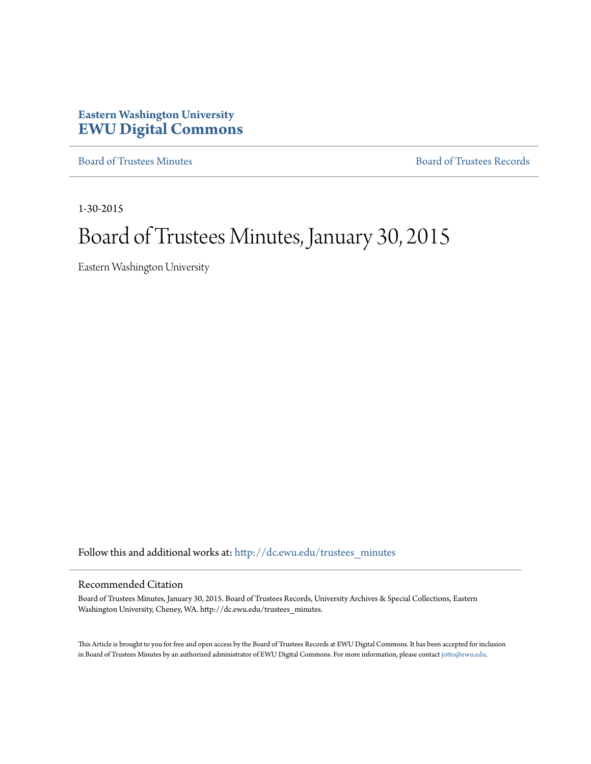## **Eastern Washington University [EWU Digital Commons](http://dc.ewu.edu?utm_source=dc.ewu.edu%2Ftrustees_minutes%2F716&utm_medium=PDF&utm_campaign=PDFCoverPages)**

[Board of Trustees Minutes](http://dc.ewu.edu/trustees_minutes?utm_source=dc.ewu.edu%2Ftrustees_minutes%2F716&utm_medium=PDF&utm_campaign=PDFCoverPages) [Board of Trustees Records](http://dc.ewu.edu/trustees?utm_source=dc.ewu.edu%2Ftrustees_minutes%2F716&utm_medium=PDF&utm_campaign=PDFCoverPages)

1-30-2015

# Board of Trustees Minutes, January 30, 2015

Eastern Washington University

Follow this and additional works at: [http://dc.ewu.edu/trustees\\_minutes](http://dc.ewu.edu/trustees_minutes?utm_source=dc.ewu.edu%2Ftrustees_minutes%2F716&utm_medium=PDF&utm_campaign=PDFCoverPages)

#### Recommended Citation

Board of Trustees Minutes, January 30, 2015. Board of Trustees Records, University Archives & Special Collections, Eastern Washington University, Cheney, WA. http://dc.ewu.edu/trustees\_minutes.

This Article is brought to you for free and open access by the Board of Trustees Records at EWU Digital Commons. It has been accepted for inclusion in Board of Trustees Minutes by an authorized administrator of EWU Digital Commons. For more information, please contact [jotto@ewu.edu.](mailto:jotto@ewu.edu)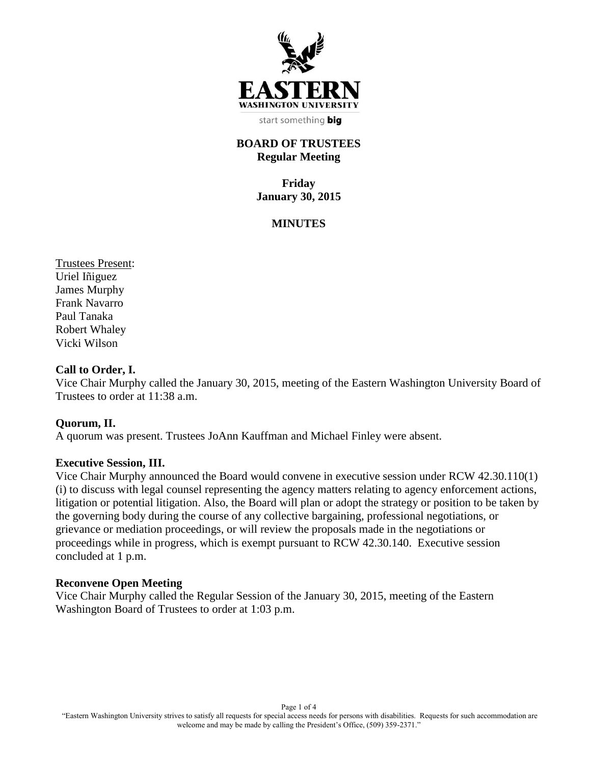

start something big

## **BOARD OF TRUSTEES Regular Meeting**

**Friday January 30, 2015**

## **MINUTES**

Trustees Present: Uriel Iñiguez James Murphy Frank Navarro Paul Tanaka Robert Whaley Vicki Wilson

#### **Call to Order, I.**

Vice Chair Murphy called the January 30, 2015, meeting of the Eastern Washington University Board of Trustees to order at 11:38 a.m.

#### **Quorum, II.**

A quorum was present. Trustees JoAnn Kauffman and Michael Finley were absent.

#### **Executive Session, III.**

Vice Chair Murphy announced the Board would convene in executive session under RCW 42.30.110(1) (i) to discuss with legal counsel representing the agency matters relating to agency enforcement actions, litigation or potential litigation. Also, the Board will plan or adopt the strategy or position to be taken by the governing body during the course of any collective bargaining, professional negotiations, or grievance or mediation proceedings, or will review the proposals made in the negotiations or proceedings while in progress, which is exempt pursuant to RCW 42.30.140. Executive session concluded at 1 p.m.

#### **Reconvene Open Meeting**

Vice Chair Murphy called the Regular Session of the January 30, 2015, meeting of the Eastern Washington Board of Trustees to order at 1:03 p.m.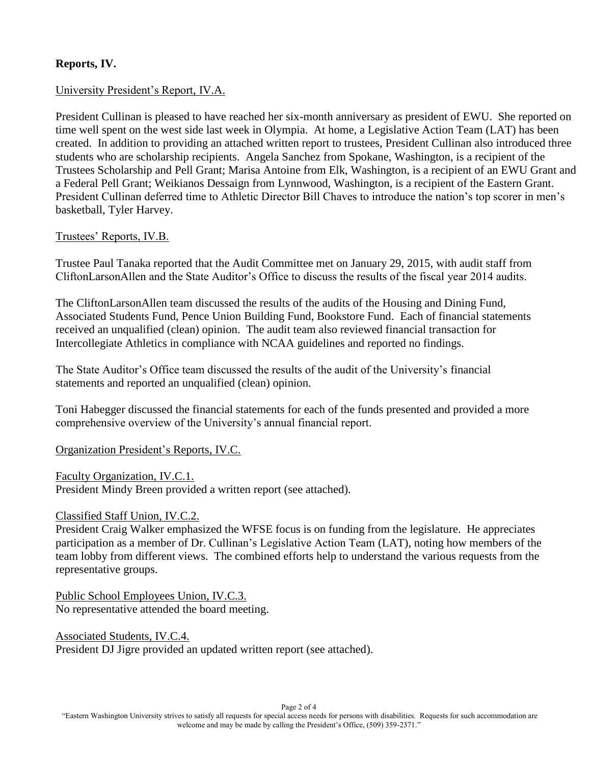## **Reports, IV.**

## University President's Report, IV.A.

President Cullinan is pleased to have reached her six-month anniversary as president of EWU. She reported on time well spent on the west side last week in Olympia. At home, a Legislative Action Team (LAT) has been created. In addition to providing an attached written report to trustees, President Cullinan also introduced three students who are scholarship recipients. Angela Sanchez from Spokane, Washington, is a recipient of the Trustees Scholarship and Pell Grant; Marisa Antoine from Elk, Washington, is a recipient of an EWU Grant and a Federal Pell Grant; Weikianos Dessaign from Lynnwood, Washington, is a recipient of the Eastern Grant. President Cullinan deferred time to Athletic Director Bill Chaves to introduce the nation's top scorer in men's basketball, Tyler Harvey.

## Trustees' Reports, IV.B.

Trustee Paul Tanaka reported that the Audit Committee met on January 29, 2015, with audit staff from CliftonLarsonAllen and the State Auditor's Office to discuss the results of the fiscal year 2014 audits.

The CliftonLarsonAllen team discussed the results of the audits of the Housing and Dining Fund, Associated Students Fund, Pence Union Building Fund, Bookstore Fund. Each of financial statements received an unqualified (clean) opinion. The audit team also reviewed financial transaction for Intercollegiate Athletics in compliance with NCAA guidelines and reported no findings.

The State Auditor's Office team discussed the results of the audit of the University's financial statements and reported an unqualified (clean) opinion.

Toni Habegger discussed the financial statements for each of the funds presented and provided a more comprehensive overview of the University's annual financial report.

#### Organization President's Reports, IV.C.

Faculty Organization, IV.C.1. President Mindy Breen provided a written report (see attached).

#### Classified Staff Union, IV.C.2.

President Craig Walker emphasized the WFSE focus is on funding from the legislature. He appreciates participation as a member of Dr. Cullinan's Legislative Action Team (LAT), noting how members of the team lobby from different views. The combined efforts help to understand the various requests from the representative groups.

Public School Employees Union, IV.C.3. No representative attended the board meeting.

Associated Students, IV.C.4. President DJ Jigre provided an updated written report (see attached).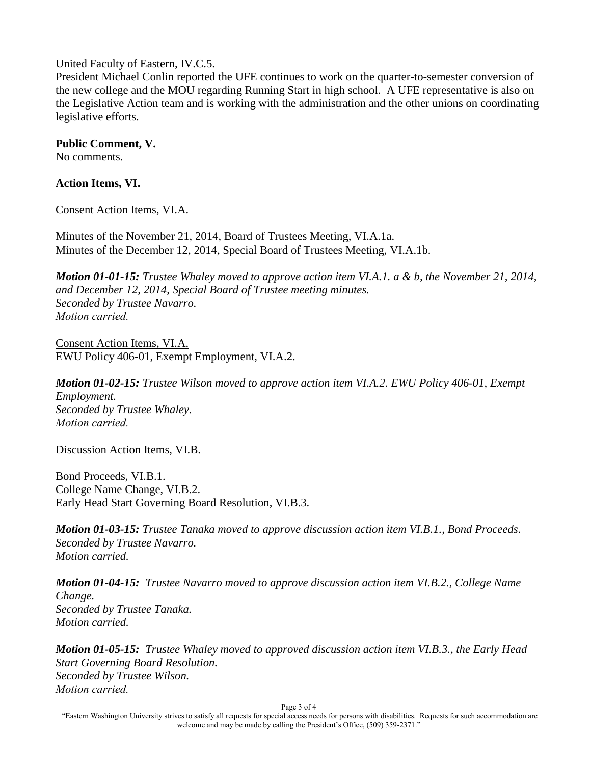## United Faculty of Eastern, IV.C.5.

President Michael Conlin reported the UFE continues to work on the quarter-to-semester conversion of the new college and the MOU regarding Running Start in high school. A UFE representative is also on the Legislative Action team and is working with the administration and the other unions on coordinating legislative efforts.

## **Public Comment, V.**

No comments.

## **Action Items, VI.**

Consent Action Items, VI.A.

Minutes of the November 21, 2014, Board of Trustees Meeting, VI.A.1a. Minutes of the December 12, 2014, Special Board of Trustees Meeting, VI.A.1b.

*Motion 01-01-15: Trustee Whaley moved to approve action item VI.A.1. a & b, the November 21, 2014, and December 12, 2014, Special Board of Trustee meeting minutes. Seconded by Trustee Navarro. Motion carried.*

Consent Action Items, VI.A. EWU Policy 406-01, Exempt Employment, VI.A.2.

*Motion 01-02-15: Trustee Wilson moved to approve action item VI.A.2. EWU Policy 406-01, Exempt Employment. Seconded by Trustee Whaley. Motion carried.*

Discussion Action Items, VI.B.

Bond Proceeds, VI.B.1. College Name Change, VI.B.2. Early Head Start Governing Board Resolution, VI.B.3.

*Motion 01-03-15: Trustee Tanaka moved to approve discussion action item VI.B.1., Bond Proceeds. Seconded by Trustee Navarro. Motion carried.*

*Motion 01-04-15: Trustee Navarro moved to approve discussion action item VI.B.2., College Name Change. Seconded by Trustee Tanaka. Motion carried.*

*Motion 01-05-15: Trustee Whaley moved to approved discussion action item VI.B.3., the Early Head Start Governing Board Resolution. Seconded by Trustee Wilson. Motion carried.*

Page 3 of 4